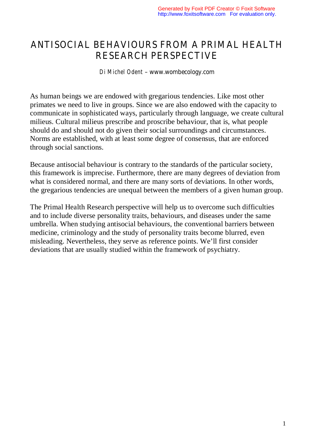# ANTISOCIAL BEHAVIOURS FROM A PRIMAL HEALTH RESEARCH PERSPECTIVE

#### *Di Michel Odent* – www.wombecology.com

As human beings we are endowed with gregarious tendencies. Like most other primates we need to live in groups. Since we are also endowed with the capacity to communicate in sophisticated ways, particularly through language, we create cultural milieus. Cultural milieus prescribe and proscribe behaviour, that is, what people should do and should not do given their social surroundings and circumstances. Norms are established, with at least some degree of consensus, that are enforced through social sanctions.

Because antisocial behaviour is contrary to the standards of the particular society, this framework is imprecise. Furthermore, there are many degrees of deviation from what is considered normal, and there are many sorts of deviations. In other words, the gregarious tendencies are unequal between the members of a given human group.

The Primal Health Research perspective will help us to overcome such difficulties and to include diverse personality traits, behaviours, and diseases under the same umbrella. When studying antisocial behaviours, the conventional barriers between medicine, criminology and the study of personality traits become blurred, even misleading. Nevertheless, they serve as reference points. We'll first consider deviations that are usually studied within the framework of psychiatry.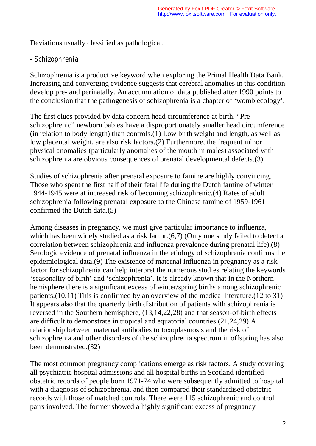Deviations usually classified as pathological.

### *- Schizophrenia*

Schizophrenia is a productive keyword when exploring the Primal Health Data Bank. Increasing and converging evidence suggests that cerebral anomalies in this condition develop pre- and perinatally. An accumulation of data published after 1990 points to the conclusion that the pathogenesis of schizophrenia is a chapter of 'womb ecology'.

The first clues provided by data concern head circumference at birth. "Preschizophrenic" newborn babies have a disproportionately smaller head circumference (in relation to body length) than controls.(1) Low birth weight and length, as well as low placental weight, are also risk factors.(2) Furthermore, the frequent minor physical anomalies (particularly anomalies of the mouth in males) associated with schizophrenia are obvious consequences of prenatal developmental defects.(3)

Studies of schizophrenia after prenatal exposure to famine are highly convincing. Those who spent the first half of their fetal life during the Dutch famine of winter 1944-1945 were at increased risk of becoming schizophrenic.(4) Rates of adult schizophrenia following prenatal exposure to the Chinese famine of 1959-1961 confirmed the Dutch data.(5)

Among diseases in pregnancy, we must give particular importance to influenza, which has been widely studied as a risk factor.(6,7) (Only one study failed to detect a correlation between schizophrenia and influenza prevalence during prenatal life).(8) Serologic evidence of prenatal influenza in the etiology of schizophrenia confirms the epidemiological data.(9) The existence of maternal influenza in pregnancy as a risk factor for schizophrenia can help interpret the numerous studies relating the keywords 'seasonality of birth' and 'schizophrenia'. It is already known that in the Northern hemisphere there is a significant excess of winter/spring births among schizophrenic patients.(10,11) This is confirmed by an overview of the medical literature.(12 to 31) It appears also that the quarterly birth distribution of patients with schizophrenia is reversed in the Southern hemisphere, (13,14,22,28) and that season-of-birth effects are difficult to demonstrate in tropical and equatorial countries.(21,24,29) A relationship between maternal antibodies to toxoplasmosis and the risk of schizophrenia and other disorders of the schizophrenia spectrum in offspring has also been demonstrated.(32)

The most common pregnancy complications emerge as risk factors. A study covering all psychiatric hospital admissions and all hospital births in Scotland identified obstetric records of people born 1971-74 who were subsequently admitted to hospital with a diagnosis of schizophrenia, and then compared their standardised obstetric records with those of matched controls. There were 115 schizophrenic and control pairs involved. The former showed a highly significant excess of pregnancy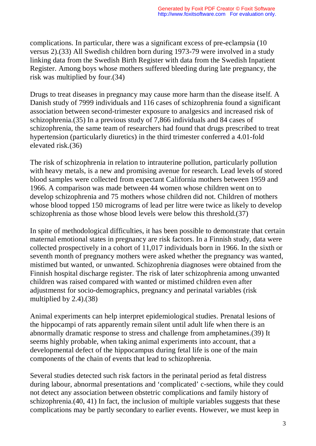complications. In particular, there was a significant excess of pre-eclampsia (10 versus 2).(33) All Swedish children born during 1973-79 were involved in a study linking data from the Swedish Birth Register with data from the Swedish Inpatient Register. Among boys whose mothers suffered bleeding during late pregnancy, the risk was multiplied by four.(34)

Drugs to treat diseases in pregnancy may cause more harm than the disease itself. A Danish study of 7999 individuals and 116 cases of schizophrenia found a significant association between second-trimester exposure to analgesics and increased risk of schizophrenia.(35) In a previous study of 7,866 individuals and 84 cases of schizophrenia, the same team of researchers had found that drugs prescribed to treat hypertension (particularly diuretics) in the third trimester conferred a 4.01-fold elevated risk.(36)

The risk of schizophrenia in relation to intrauterine pollution, particularly pollution with heavy metals, is a new and promising avenue for research. Lead levels of stored blood samples were collected from expectant California mothers between 1959 and 1966. A comparison was made between 44 women whose children went on to develop schizophrenia and 75 mothers whose children did not. Children of mothers whose blood topped 150 micrograms of lead per litre were twice as likely to develop schizophrenia as those whose blood levels were below this threshold.(37)

In spite of methodological difficulties, it has been possible to demonstrate that certain maternal emotional states in pregnancy are risk factors. In a Finnish study, data were collected prospectively in a cohort of 11,017 individuals born in 1966. In the sixth or seventh month of pregnancy mothers were asked whether the pregnancy was wanted, mistimed but wanted, or unwanted. Schizophrenia diagnoses were obtained from the Finnish hospital discharge register. The risk of later schizophrenia among unwanted children was raised compared with wanted or mistimed children even after adjustmenst for socio-demographics, pregnancy and perinatal variables (risk multiplied by 2.4).(38)

Animal experiments can help interpret epidemiological studies. Prenatal lesions of the hippocampi of rats apparently remain silent until adult life when there is an abnormally dramatic response to stress and challenge from amphetamines.(39) It seems highly probable, when taking animal experiments into account, that a developmental defect of the hippocampus during fetal life is one of the main components of the chain of events that lead to schizophrenia.

Several studies detected such risk factors in the perinatal period as fetal distress during labour, abnormal presentations and 'complicated' c-sections, while they could not detect any association between obstetric complications and family history of schizophrenia.(40, 41) In fact, the inclusion of multiple variables suggests that these complications may be partly secondary to earlier events. However, we must keep in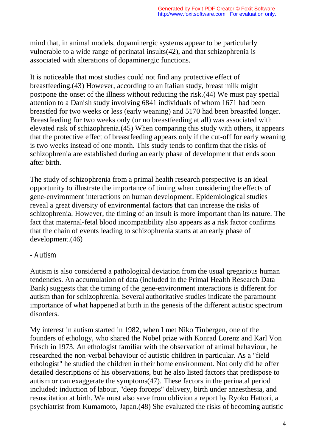mind that, in animal models, dopaminergic systems appear to be particularly vulnerable to a wide range of perinatal insults(42), and that schizophrenia is associated with alterations of dopaminergic functions.

It is noticeable that most studies could not find any protective effect of breastfeeding.(43) However, according to an Italian study, breast milk might postpone the onset of the illness without reducing the risk.(44) We must pay special attention to a Danish study involving 6841 individuals of whom 1671 had been breastfed for two weeks or less (early weaning) and 5170 had been breastfed longer. Breastfeeding for two weeks only (or no breastfeeding at all) was associated with elevated risk of schizophrenia.(45) When comparing this study with others, it appears that the protective effect of breastfeeding appears only if the cut-off for early weaning is two weeks instead of one month. This study tends to confirm that the risks of schizophrenia are established during an early phase of development that ends soon after birth.

The study of schizophrenia from a primal health research perspective is an ideal opportunity to illustrate the importance of timing when considering the effects of gene-environment interactions on human development. Epidemiological studies reveal a great diversity of environmental factors that can increase the risks of schizophrenia. However, the timing of an insult is more important than its nature. The fact that maternal-fetal blood incompatibility also appears as a risk factor confirms that the chain of events leading to schizophrenia starts at an early phase of development.(46)

#### *- Autism*

Autism is also considered a pathological deviation from the usual gregarious human tendencies. An accumulation of data (included in the Primal Health Research Data Bank) suggests that the timing of the gene-environment interactions is different for autism than for schizophrenia. Several authoritative studies indicate the paramount importance of what happened at birth in the genesis of the different autistic spectrum disorders.

My interest in autism started in 1982, when I met Niko Tinbergen, one of the founders of ethology, who shared the Nobel prize with Konrad Lorenz and Karl Von Frisch in 1973. An ethologist familiar with the observation of animal behaviour, he researched the non-verbal behaviour of autistic children in particular. As a "field ethologist" he studied the children in their home environment. Not only did he offer detailed descriptions of his observations, but he also listed factors that predispose to autism or can exaggerate the symptoms(47). These factors in the perinatal period included: induction of labour, "deep forceps" delivery, birth under anaesthesia, and resuscitation at birth. We must also save from oblivion a report by Ryoko Hattori, a psychiatrist from Kumamoto, Japan.(48) She evaluated the risks of becoming autistic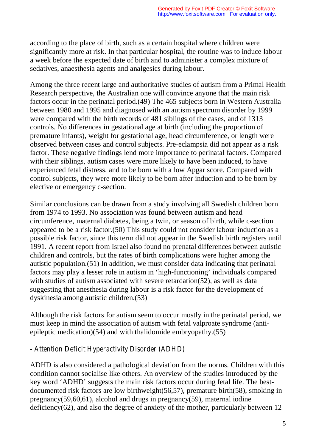according to the place of birth, such as a certain hospital where children were significantly more at risk. In that particular hospital, the routine was to induce labour a week before the expected date of birth and to administer a complex mixture of sedatives, anaesthesia agents and analgesics during labour.

Among the three recent large and authoritative studies of autism from a Primal Health Research perspective, the Australian one will convince anyone that the main risk factors occur in the perinatal period.(49) The 465 subjects born in Western Australia between 1980 and 1995 and diagnosed with an autism spectrum disorder by 1999 were compared with the birth records of 481 siblings of the cases, and of 1313 controls. No differences in gestational age at birth (including the proportion of premature infants), weight for gestational age, head circumference, or length were observed between cases and control subjects. Pre-eclampsia did not appear as a risk factor. These negative findings lend more importance to perinatal factors. Compared with their siblings, autism cases were more likely to have been induced, to have experienced fetal distress, and to be born with a low Apgar score. Compared with control subjects, they were more likely to be born after induction and to be born by elective or emergency c-section.

Similar conclusions can be drawn from a study involving all Swedish children born from 1974 to 1993. No association was found between autism and head circumference, maternal diabetes, being a twin, or season of birth, while c-section appeared to be a risk factor.(50) This study could not consider labour induction as a possible risk factor, since this term did not appear in the Swedish birth registers until 1991. A recent report from Israel also found no prenatal differences between autistic children and controls, but the rates of birth complications were higher among the autistic population.(51) In addition, we must consider data indicating that perinatal factors may play a lesser role in autism in 'high-functioning' individuals compared with studies of autism associated with severe retardation(52), as well as data suggesting that anesthesia during labour is a risk factor for the development of dyskinesia among autistic children.(53)

Although the risk factors for autism seem to occur mostly in the perinatal period, we must keep in mind the association of autism with fetal valproate syndrome (antiepileptic medication)(54) and with thalidomide embryopathy.(55)

# *- Attention Deficit Hyperactivity Disorder (ADHD)*

ADHD is also considered a pathological deviation from the norms. Children with this condition cannot socialise like others. An overview of the studies introduced by the key word 'ADHD' suggests the main risk factors occur during fetal life. The bestdocumented risk factors are low birthweight(56,57), premature birth(58), smoking in pregnancy(59,60,61), alcohol and drugs in pregnancy(59), maternal iodine deficiency(62), and also the degree of anxiety of the mother, particularly between 12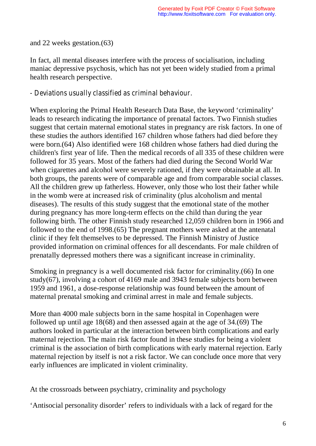and 22 weeks gestation.(63)

In fact, all mental diseases interfere with the process of socialisation, including maniac depressive psychosis, which has not yet been widely studied from a primal health research perspective.

## *- Deviations usually classified as criminal behaviour.*

When exploring the Primal Health Research Data Base, the keyword 'criminality' leads to research indicating the importance of prenatal factors. Two Finnish studies suggest that certain maternal emotional states in pregnancy are risk factors. In one of these studies the authors identified 167 children whose fathers had died before they were born.(64) Also identified were 168 children whose fathers had died during the children's first year of life. Then the medical records of all 335 of these children were followed for 35 years. Most of the fathers had died during the Second World War when cigarettes and alcohol were severely rationed, if they were obtainable at all. In both groups, the parents were of comparable age and from comparable social classes. All the children grew up fatherless. However, only those who lost their father while in the womb were at increased risk of criminality (plus alcoholism and mental diseases). The results of this study suggest that the emotional state of the mother during pregnancy has more long-term effects on the child than during the year following birth. The other Finnish study researched 12,059 children born in 1966 and followed to the end of 1998.(65) The pregnant mothers were asked at the antenatal clinic if they felt themselves to be depressed. The Finnish Ministry of Justice provided information on criminal offences for all descendants. For male children of prenatally depressed mothers there was a significant increase in criminality.

Smoking in pregnancy is a well documented risk factor for criminality.(66) In one study(67), involving a cohort of 4169 male and 3943 female subjects born between 1959 and 1961, a dose-response relationship was found between the amount of maternal prenatal smoking and criminal arrest in male and female subjects.

More than 4000 male subjects born in the same hospital in Copenhagen were followed up until age 18(68) and then assessed again at the age of 34.(69) The authors looked in particular at the interaction between birth complications and early maternal rejection. The main risk factor found in these studies for being a violent criminal is the association of birth complications with early maternal rejection. Early maternal rejection by itself is not a risk factor. We can conclude once more that very early influences are implicated in violent criminality.

At the crossroads between psychiatry, criminality and psychology

'Antisocial personality disorder' refers to individuals with a lack of regard for the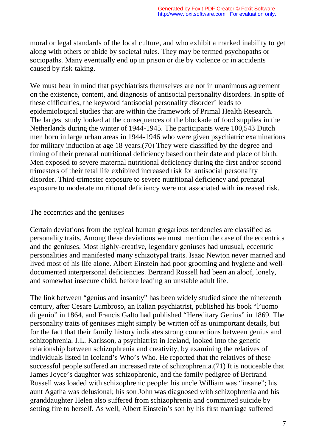moral or legal standards of the local culture, and who exhibit a marked inability to get along with others or abide by societal rules. They may be termed psychopaths or sociopaths. Many eventually end up in prison or die by violence or in accidents caused by risk-taking.

We must bear in mind that psychiatrists themselves are not in unanimous agreement on the existence, content, and diagnosis of antisocial personality disorders. In spite of these difficulties, the keyword 'antisocial personality disorder' leads to epidemiological studies that are within the framework of Primal Health Research. The largest study looked at the consequences of the blockade of food supplies in the Netherlands during the winter of 1944-1945. The participants were 100,543 Dutch men born in large urban areas in 1944-1946 who were given psychiatric examinations for military induction at age 18 years.(70) They were classified by the degree and timing of their prenatal nutritional deficiency based on their date and place of birth. Men exposed to severe maternal nutritional deficiency during the first and/or second trimesters of their fetal life exhibited increased risk for antisocial personality disorder. Third-trimester exposure to severe nutritional deficiency and prenatal exposure to moderate nutritional deficiency were not associated with increased risk.

#### The eccentrics and the geniuses

Certain deviations from the typical human gregarious tendencies are classified as personality traits. Among these deviations we must mention the case of the eccentrics and the geniuses. Most highly-creative, legendary geniuses had unusual, eccentric personalities and manifested many schizotypal traits. Isaac Newton never married and lived most of his life alone. Albert Einstein had poor grooming and hygiene and welldocumented interpersonal deficiencies. Bertrand Russell had been an aloof, lonely, and somewhat insecure child, before leading an unstable adult life.

The link between "genius and insanity" has been widely studied since the nineteenth century, after Cesare Lumbroso, an Italian psychiatrist, published his book "l'uomo di genio" in 1864, and Francis Galto had published "Hereditary Genius" in 1869. The personality traits of geniuses might simply be written off as unimportant details, but for the fact that their family history indicates strong connections between genius and schizophrenia. J.L. Karlsson, a psychiatrist in Iceland, looked into the genetic relationship between schizophrenia and creativity, by examining the relatives of individuals listed in Iceland's Who's Who. He reported that the relatives of these successful people suffered an increased rate of schizophrenia.(71) It is noticeable that James Joyce's daughter was schizophrenic, and the family pedigree of Bertrand Russell was loaded with schizophrenic people: his uncle William was "insane"; his aunt Agatha was delusional; his son John was diagnosed with schizophrenia and his granddaughter Helen also suffered from schizophrenia and committed suicide by setting fire to herself. As well, Albert Einstein's son by his first marriage suffered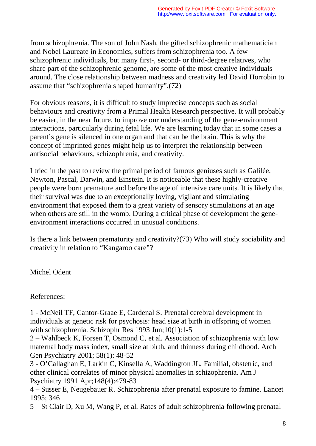from schizophrenia. The son of John Nash, the gifted schizophrenic mathematician and Nobel Laureate in Economics, suffers from schizophrenia too. A few schizophrenic individuals, but many first-, second- or third-degree relatives, who share part of the schizophrenic genome, are some of the most creative individuals around. The close relationship between madness and creativity led David Horrobin to assume that "schizophrenia shaped humanity".(72)

For obvious reasons, it is difficult to study imprecise concepts such as social behaviours and creativity from a Primal Health Research perspective. It will probably be easier, in the near future, to improve our understanding of the gene-environment interactions, particularly during fetal life. We are learning today that in some cases a parent's gene is silenced in one organ and that can be the brain. This is why the concept of imprinted genes might help us to interpret the relationship between antisocial behaviours, schizophrenia, and creativity.

I tried in the past to review the primal period of famous geniuses such as Galilée, Newton, Pascal, Darwin, and Einstein. It is noticeable that these highly-creative people were born premature and before the age of intensive care units. It is likely that their survival was due to an exceptionally loving, vigilant and stimulating environment that exposed them to a great variety of sensory stimulations at an age when others are still in the womb. During a critical phase of development the geneenvironment interactions occurred in unusual conditions.

Is there a link between prematurity and creativity?(73) Who will study sociability and creativity in relation to "Kangaroo care"?

Michel Odent

References:

1 - McNeil TF, Cantor-Graae E, Cardenal S. Prenatal cerebral development in individuals at genetic risk for psychosis: head size at birth in offspring of women with schizophrenia. Schizophr Res 1993 Jun;10(1):1-5

2 – Wahlbeck K, Forsen T, Osmond C, et al. Association of schizophrenia with low maternal body mass index, small size at birth, and thinness during childhood. Arch Gen Psychiatry 2001; 58(1): 48-52

3 - O'Callaghan E, Larkin C, Kinsella A, Waddington JL. Familial, obstetric, and other clinical correlates of minor physical anomalies in schizophrenia. Am J Psychiatry 1991 Apr;148(4):479-83

4 – Susser E, Neugebauer R. Schizophrenia after prenatal exposure to famine. Lancet 1995; 346

5 – St Clair D, Xu M, Wang P, et al. Rates of adult schizophrenia following prenatal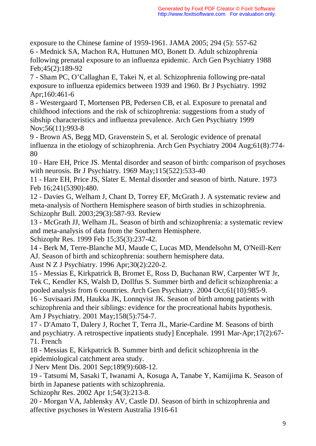exposure to the Chinese famine of 1959-1961. JAMA 2005; 294 (5): 557-62 6 - Mednick SA, Machon RA, Huttunen MO, Bonett D. Adult schizophrenia following prenatal exposure to an influenza epidemic. Arch Gen Psychiatry 1988 Feb;45(2):189-92

7 - Sham PC, O'Callaghan E, Takei N, et al. Schizophrenia following pre-natal exposure to influenza epidemics between 1939 and 1960. Br J Psychiatry. 1992 Apr;160:461-6

8 - Westergaard T, Mortensen PB, Pedersen CB, et al. Exposure to prenatal and childhood infections and the risk of schizophrenia: suggestions from a study of sibship characteristics and influenza prevalence. Arch Gen Psychiatry 1999 Nov;56(11):993-8

9 - Brown AS, Begg MD, Gravenstein S, et al. Serologic evidence of prenatal influenza in the etiology of schizophrenia. Arch Gen Psychiatry 2004 Aug;61(8):774- 80

10 - Hare EH, Price JS. Mental disorder and season of birth: comparison of psychoses with neurosis. Br J Psychiatry. 1969 May;115(522):533-40

11 - Hare EH, Price JS, Slater E. Mental disorder and season of birth. Nature. 1973 Feb 16;241(5390):480.

12 - Davies G, Welham J, Chant D, Torrey EF, McGrath J. A systematic review and meta-analysis of Northern Hemisphere season of birth studies in schizophrenia. Schizophr Bull. 2003;29(3):587-93. Review

13 - McGrath JJ, Welham JL. Season of birth and schizophrenia: a systematic review and meta-analysis of data from the Southern Hemisphere. Schizophr Res. 1999 Feb 15;35(3):237-42.

14 - Berk M, Terre-Blanche MJ, Maude C, Lucas MD, Mendelsohn M, O'Neill-Kerr AJ. Season of birth and schizophrenia: southern hemisphere data.

Aust N Z J Psychiatry. 1996 Apr;30(2):220-2.

15 - Messias E, Kirkpatrick B, Bromet E, Ross D, Buchanan RW, Carpenter WT Jr, Tek C, Kendler KS, Walsh D, Dollfus S. Summer birth and deficit schizophrenia: a pooled analysis from 6 countries. Arch Gen Psychiatry. 2004 Oct;61(10):985-9.

16 - Suvisaari JM, Haukka JK, Lonnqvist JK. Season of birth among patients with schizophrenia and their siblings: evidence for the procreational habits hypothesis. Am J Psychiatry. 2001 May;158(5):754-7.

17 - D'Amato T, Dalery J, Rochet T, Terra JL, Marie-Cardine M. Seasons of birth and psychiatry. A retrospective inpatients study] Encephale. 1991 Mar-Apr;17(2):67- 71. French

18 - Messias E, Kirkpatrick B. Summer birth and deficit schizophrenia in the epidemiological catchment area study.

J Nerv Ment Dis. 2001 Sep;189(9):608-12.

19 - Tatsumi M, Sasaki T, Iwanami A, Kosuga A, Tanabe Y, Kamijima K. Season of birth in Japanese patients with schizophrenia.

Schizophr Res. 2002 Apr 1;54(3):213-8.

20 - Morgan VA, Jablensky AV, Castle DJ. Season of birth in schizophrenia and affective psychoses in Western Australia 1916-61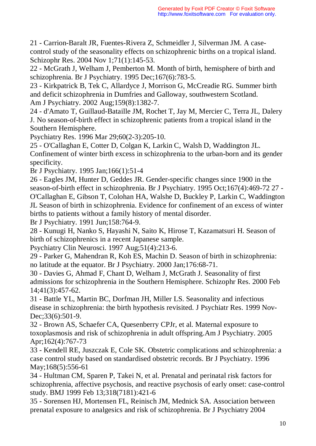21 - Carrion-Baralt JR, Fuentes-Rivera Z, Schmeidler J, Silverman JM. A casecontrol study of the seasonality effects on schizophrenic births on a tropical island. Schizophr Res. 2004 Nov 1;71(1):145-53.

22 - McGrath J, Welham J, Pemberton M. Month of birth, hemisphere of birth and schizophrenia. Br J Psychiatry. 1995 Dec;167(6):783-5.

23 - Kirkpatrick B, Tek C, Allardyce J, Morrison G, McCreadie RG. Summer birth and deficit schizophrenia in Dumfries and Galloway, southwestern Scotland. Am J Psychiatry. 2002 Aug;159(8):1382-7.

24 - d'Amato T, Guillaud-Bataille JM, Rochet T, Jay M, Mercier C, Terra JL, Dalery J. No season-of-birth effect in schizophrenic patients from a tropical island in the Southern Hemisphere.

Psychiatry Res. 1996 Mar 29;60(2-3):205-10.

25 - O'Callaghan E, Cotter D, Colgan K, Larkin C, Walsh D, Waddington JL. Confinement of winter birth excess in schizophrenia to the urban-born and its gender specificity.

Br J Psychiatry. 1995 Jan;166(1):51-4

26 - Eagles JM, Hunter D, Geddes JR. Gender-specific changes since 1900 in the season-of-birth effect in schizophrenia. Br J Psychiatry. 1995 Oct;167(4):469-72 27 - O'Callaghan E, Gibson T, Colohan HA, Walshe D, Buckley P, Larkin C, Waddington JL Season of birth in schizophrenia. Evidence for confinement of an excess of winter births to patients without a family history of mental disorder.

Br J Psychiatry. 1991 Jun;158:764-9.

28 - Kunugi H, Nanko S, Hayashi N, Saito K, Hirose T, Kazamatsuri H. Season of birth of schizophrenics in a recent Japanese sample.

Psychiatry Clin Neurosci. 1997 Aug;51(4):213-6.

29 - Parker G, Mahendran R, Koh ES, Machin D. Season of birth in schizophrenia: no latitude at the equator. Br J Psychiatry. 2000 Jan;176:68-71.

30 - Davies G, Ahmad F, Chant D, Welham J, McGrath J. Seasonality of first admissions for schizophrenia in the Southern Hemisphere. Schizophr Res. 2000 Feb 14;41(3):457-62.

31 - Battle YL, Martin BC, Dorfman JH, Miller LS. Seasonality and infectious disease in schizophrenia: the birth hypothesis revisited. J Psychiatr Res. 1999 Nov-Dec: 33(6): 501-9.

32 - Brown AS, Schaefer CA, Quesenberry CPJr, et al. Maternal exposure to toxoplasmosis and risk of schizophrenia in adult offspring.Am J Psychiatry. 2005 Apr;162(4):767-73

33 - Kendell RE, Juszczak E, Cole SK. Obstetric complications and schizophrenia: a case control study based on standardised obstetric records. Br J Psychiatry. 1996 May;168(5):556-61

34 - Hultman CM, Sparen P, Takei N, et al. Prenatal and perinatal risk factors for schizophrenia, affective psychosis, and reactive psychosis of early onset: case-control study. BMJ 1999 Feb 13;318(7181):421-6

35 - Sorensen HJ, Mortensen FL, Reinisch JM, Mednick SA. Association between prenatal exposure to analgesics and risk of schizophrenia. Br J Psychiatry 2004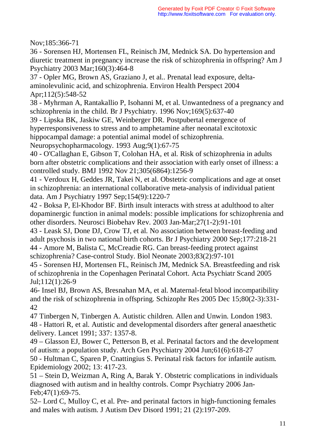Nov;185:366-71

36 - Sorensen HJ, Mortensen FL, Reinisch JM, Mednick SA. Do hypertension and diuretic treatment in pregnancy increase the risk of schizophrenia in offspring? Am J Psychiatry 2003 Mar;160(3):464-8

37 - Opler MG, Brown AS, Graziano J, et al.. Prenatal lead exposure, deltaaminolevulinic acid, and schizophrenia. Environ Health Perspect 2004 Apr;112(5):548-52

38 - Myhrman A, Rantakallio P, Isohanni M, et al. Unwantedness of a pregnancy and schizophrenia in the child. Br J Psychiatry. 1996 Nov;169(5):637-40

39 - Lipska BK, Jaskiw GE, Weinberger DR. Postpubertal emergence of hyperresponsiveness to stress and to amphetamine after neonatal excitotoxic hippocampal damage: a potential animal model of schizophrenia.

Neuropsychopharmacology. 1993 Aug;9(1):67-75

40 - O'Callaghan E, Gibson T, Colohan HA, et al. Risk of schizophrenia in adults born after obstetric complications and their association with early onset of illness: a controlled study. BMJ 1992 Nov 21;305(6864):1256-9

41 - Verdoux H, Geddes JR, Takei N, et al. Obstetric complications and age at onset in schizophrenia: an international collaborative meta-analysis of individual patient data. Am J Psychiatry 1997 Sep;154(9):1220-7

42 - Boksa P, El-Khodor BF. Birth insult interacts with stress at adulthood to alter dopaminergic function in animal models: possible implications for schizophrenia and other disorders. Neurosci Biobehav Rev. 2003 Jan-Mar;27(1-2):91-101

43 - Leask SJ, Done DJ, Crow TJ, et al. No association between breast-feeding and adult psychosis in two national birth cohorts. Br J Psychiatry 2000 Sep;177:218-21 44 - Amore M, Balista C, McCreadie RG. Can breast-feeding protect against schizophrenia? Case-control Study. Biol Neonate 2003;83(2):97-101

45 - Sorensen HJ, Mortensen FL, Reinisch JM, Mednick SA. Breastfeeding and risk of schizophrenia in the Copenhagen Perinatal Cohort. Acta Psychiatr Scand 2005 Jul;112(1):26-9

46- Insel BJ, Brown AS, Bresnahan MA, et al. Maternal-fetal blood incompatibility and the risk of schizophrenia in offspring. Schizophr Res 2005 Dec 15;80(2-3):331- 42

47 Tinbergen N, Tinbergen A. Autistic children. Allen and Unwin. London 1983. 48 - Hattori R, et al. Autistic and developmental disorders after general anaesthetic delivery. Lancet 1991; 337: 1357-8.

49 – Glasson EJ, Bower C, Petterson B, et al. Perinatal factors and the development of autism: a population study. Arch Gen Psychiatry 2004 Jun;61(6):618-27

50 - Hultman C, Sparen P, Cnattingius S. Perinatal risk factors for infantile autism. Epidemiology 2002; 13: 417-23.

51 – Stein D, Weizman A, Ring A, Barak Y. Obstetric complications in individuals diagnosed with autism and in healthy controls. Compr Psychiatry 2006 Jan-Feb;47(1):69-75.

52– Lord C, Mulloy C, et al. Pre- and perinatal factors in high-functioning females and males with autism. J Autism Dev Disord 1991; 21 (2):197-209.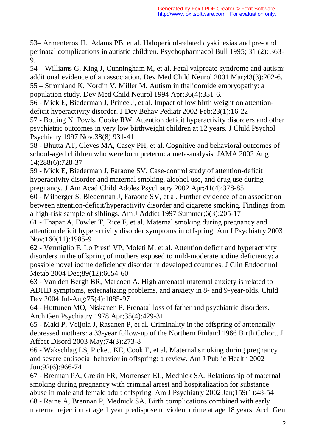53– Armenteros JL, Adams PB, et al. Haloperidol-related dyskinesias and pre- and perinatal complications in autistic children. Psychopharmacol Bull 1995; 31 (2): 363- 9.

54 – Williams G, King J, Cunningham M, et al. Fetal valproate syndrome and autism: additional evidence of an association. Dev Med Child Neurol 2001 Mar;43(3):202-6. 55 – Stromland K, Nordin V, Miller M. Autism in thalidomide embryopathy: a population study. Dev Med Child Neurol 1994 Apr;36(4):351-6.

56 - Mick E, Biederman J, Prince J, et al. Impact of low birth weight on attentiondeficit hyperactivity disorder. J Dev Behav Pediatr 2002 Feb;23(1):16-22

57 - Botting N, Powls, Cooke RW. Attention deficit hyperactivity disorders and other psychiatric outcomes in very low birthweight children at 12 years. J Child Psychol Psychiatry 1997 Nov;38(8):931-41

58 - Bhutta AT, Cleves MA, Casey PH, et al. Cognitive and behavioral outcomes of school-aged children who were born preterm: a meta-analysis. JAMA 2002 Aug 14;288(6):728-37

59 - Mick E, Biederman J, Faraone SV. Case-control study of attention-deficit hyperactivity disorder and maternal smoking, alcohol use, and drug use during pregnancy. J Am Acad Child Adoles Psychiatry 2002 Apr;41(4):378-85

60 - Milberger S, Biederman J, Faraone SV, et al. Further evidence of an association between attention-deficit/hyperactivity disorder and cigarette smoking. Findings from a high-risk sample of siblings. Am J Addict 1997 Summer;6(3):205-17

61 - Thapar A, Fowler T, Rice F, et al. Maternal smoking during pregnancy and attention deficit hyperactivity disorder symptoms in offspring. Am J Psychiatry 2003 Nov;160(11):1985-9

62 - Vermiglio F, Lo Presti VP, Moleti M, et al. Attention deficit and hyperactivity disorders in the offspring of mothers exposed to mild-moderate iodine deficiency: a possible novel iodine deficiency disorder in developed countries. J Clin Endocrinol Metab 2004 Dec;89(12):6054-60

63 - Van den Bergh BR, Marcoen A. High antenatal maternal anxiety is related to ADHD symptoms, externalizing problems, and anxiety in 8- and 9-year-olds. Child Dev 2004 Jul-Aug;75(4):1085-97

64 - Huttunen MO, Niskanen P. Prenatal loss of father and psychiatric disorders. Arch Gen Psychiatry 1978 Apr;35(4):429-31

65 - Maki P, Veijola J, Rasanen P, et al. Criminality in the offspring of antenatally depressed mothers: a 33-year follow-up of the Northern Finland 1966 Birth Cohort. J Affect Disord 2003 May;74(3):273-8

66 - Wakschlag LS, Pickett KE, Cook E, et al. Maternal smoking during pregnancy and severe antisocial behavior in offspring: a review. Am J Public Health 2002 Jun;92(6):966-74

67 - Brennan PA, Grekin FR, Mortensen EL, Mednick SA. Relationship of maternal smoking during pregnancy with criminal arrest and hospitalization for substance abuse in male and female adult offspring. Am J Psychiatry 2002 Jan;159(1):48-54 68 - Raine A, Brennan P, Mednick SA. Birth complications combined with early maternal rejection at age 1 year predispose to violent crime at age 18 years. Arch Gen